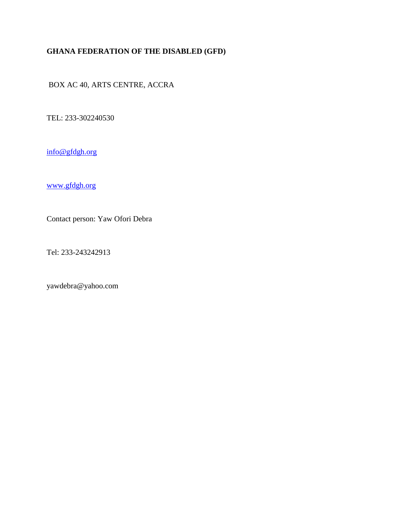## **GHANA FEDERATION OF THE DISABLED (GFD)**

BOX AC 40, ARTS CENTRE, ACCRA

TEL: 233-302240530

[info@gfdgh.org](mailto:info@gfdgh.org)

[www.gfdgh.org](http://www.gfdgh.org/)

Contact person: Yaw Ofori Debra

Tel: 233-243242913

yawdebra@yahoo.com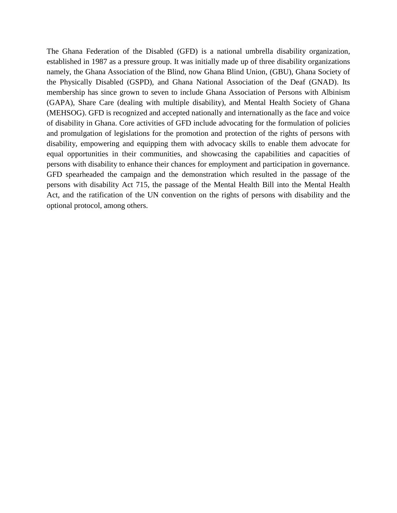The Ghana Federation of the Disabled (GFD) is a national umbrella disability organization, established in 1987 as a pressure group. It was initially made up of three disability organizations namely, the Ghana Association of the Blind, now Ghana Blind Union, (GBU), Ghana Society of the Physically Disabled (GSPD), and Ghana National Association of the Deaf (GNAD). Its membership has since grown to seven to include Ghana Association of Persons with Albinism (GAPA), Share Care (dealing with multiple disability), and Mental Health Society of Ghana (MEHSOG). GFD is recognized and accepted nationally and internationally as the face and voice of disability in Ghana. Core activities of GFD include advocating for the formulation of policies and promulgation of legislations for the promotion and protection of the rights of persons with disability, empowering and equipping them with advocacy skills to enable them advocate for equal opportunities in their communities, and showcasing the capabilities and capacities of persons with disability to enhance their chances for employment and participation in governance. GFD spearheaded the campaign and the demonstration which resulted in the passage of the persons with disability Act 715, the passage of the Mental Health Bill into the Mental Health Act, and the ratification of the UN convention on the rights of persons with disability and the optional protocol, among others.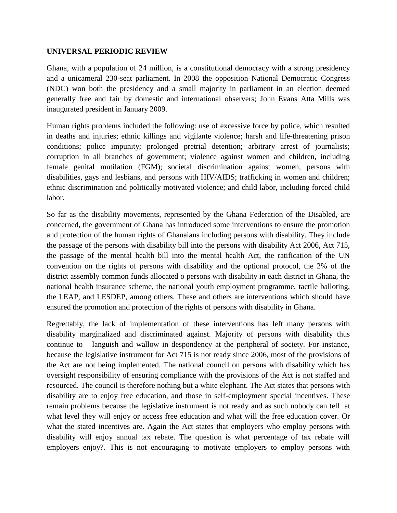## **UNIVERSAL PERIODIC REVIEW**

Ghana, with a population of 24 million, is a constitutional democracy with a strong presidency and a unicameral 230-seat parliament. In 2008 the opposition National Democratic Congress (NDC) won both the presidency and a small majority in parliament in an election deemed generally free and fair by domestic and international observers; John Evans Atta Mills was inaugurated president in January 2009.

Human rights problems included the following: use of excessive force by police, which resulted in deaths and injuries; ethnic killings and vigilante violence; harsh and life-threatening prison conditions; police impunity; prolonged pretrial detention; arbitrary arrest of journalists; corruption in all branches of government; violence against women and children, including female genital mutilation (FGM); societal discrimination against women, persons with disabilities, gays and lesbians, and persons with HIV/AIDS; trafficking in women and children; ethnic discrimination and politically motivated violence; and child labor, including forced child labor.

So far as the disability movements, represented by the Ghana Federation of the Disabled, are concerned, the government of Ghana has introduced some interventions to ensure the promotion and protection of the human rights of Ghanaians including persons with disability. They include the passage of the persons with disability bill into the persons with disability Act 2006, Act 715, the passage of the mental health bill into the mental health Act, the ratification of the UN convention on the rights of persons with disability and the optional protocol, the 2% of the district assembly common funds allocated o persons with disability in each district in Ghana, the national health insurance scheme, the national youth employment programme, tactile balloting, the LEAP, and LESDEP, among others. These and others are interventions which should have ensured the promotion and protection of the rights of persons with disability in Ghana.

Regrettably, the lack of implementation of these interventions has left many persons with disability marginalized and discriminated against. Majority of persons with disability thus continue to languish and wallow in despondency at the peripheral of society. For instance, because the legislative instrument for Act 715 is not ready since 2006, most of the provisions of the Act are not being implemented. The national council on persons with disability which has oversight responsibility of ensuring compliance with the provisions of the Act is not staffed and resourced. The council is therefore nothing but a white elephant. The Act states that persons with disability are to enjoy free education, and those in self-employment special incentives. These remain problems because the legislative instrument is not ready and as such nobody can tell at what level they will enjoy or access free education and what will the free education cover. Or what the stated incentives are. Again the Act states that employers who employ persons with disability will enjoy annual tax rebate. The question is what percentage of tax rebate will employers enjoy?. This is not encouraging to motivate employers to employ persons with